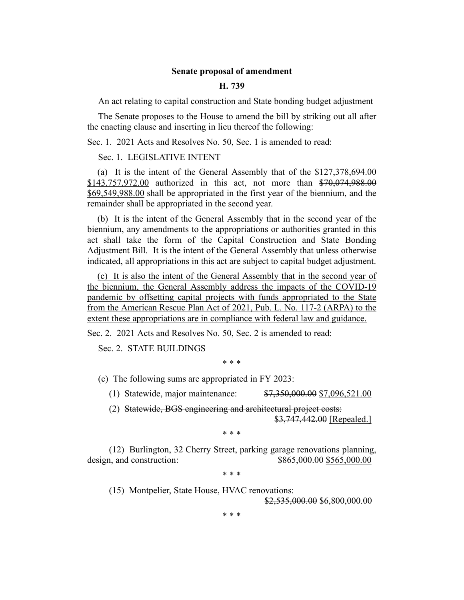## **Senate proposal of amendment**

## **H. 739**

An act relating to capital construction and State bonding budget adjustment

The Senate proposes to the House to amend the bill by striking out all after the enacting clause and inserting in lieu thereof the following:

Sec. 1. 2021 Acts and Resolves No. 50, Sec. 1 is amended to read:

## Sec. 1. LEGISLATIVE INTENT

(a) It is the intent of the General Assembly that of the \$127,378,694.00 \$143,757,972.00 authorized in this act, not more than \$70,074,988.00 \$69,549,988.00 shall be appropriated in the first year of the biennium, and the remainder shall be appropriated in the second year.

(b) It is the intent of the General Assembly that in the second year of the biennium, any amendments to the appropriations or authorities granted in this act shall take the form of the Capital Construction and State Bonding Adjustment Bill. It is the intent of the General Assembly that unless otherwise indicated, all appropriations in this act are subject to capital budget adjustment.

(c) It is also the intent of the General Assembly that in the second year of the biennium, the General Assembly address the impacts of the COVID-19 pandemic by offsetting capital projects with funds appropriated to the State from the American Rescue Plan Act of 2021, Pub. L. No. 117-2 (ARPA) to the extent these appropriations are in compliance with federal law and guidance.

Sec. 2. 2021 Acts and Resolves No. 50, Sec. 2 is amended to read:

Sec. 2. STATE BUILDINGS

\* \* \*

(c) The following sums are appropriated in FY 2023:

(1) Statewide, major maintenance: \$7,350,000.00 \$7,096,521.00

(2) Statewide, BGS engineering and architectural project costs: \$3,747,442.00 [Repealed.]

\* \* \*

(12) Burlington, 32 Cherry Street, parking garage renovations planning, design, and construction:  $\frac{$865,000.00}{$865,000.00}$ 

\* \* \*

(15) Montpelier, State House, HVAC renovations:

\$2,535,000.00 \$6,800,000.00

\* \* \*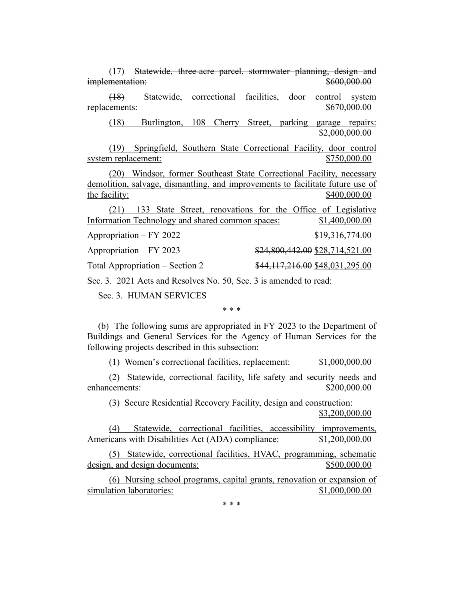| (17) Statewide, three-acre parcel, stormwater planning, design and             |
|--------------------------------------------------------------------------------|
| \$600,000.00<br>implementation:                                                |
| Statewide, correctional facilities, door control system<br>(18)                |
| \$670,000.00<br>replacements:                                                  |
| Burlington, 108 Cherry Street, parking garage repairs:<br>(18)                 |
| \$2,000,000.00                                                                 |
| (19) Springfield, Southern State Correctional Facility, door control           |
| \$750,000.00<br>system replacement:                                            |
| (20) Windsor, former Southeast State Correctional Facility, necessary          |
| demolition, salvage, dismantling, and improvements to facilitate future use of |
| \$400,000.00<br>the facility:                                                  |
| (21) 133 State Street, renovations for the Office of Legislative               |
| Information Technology and shared common spaces:<br>\$1,400,000.00             |
| Appropriation – FY 2022<br>\$19,316,774.00                                     |
| Appropriation – FY 2023<br>\$24,800,442.00 \$28,714,521.00                     |
| Total Appropriation – Section 2<br>\$44,117,216.00 \$48,031,295.00             |

Sec. 3. 2021 Acts and Resolves No. 50, Sec. 3 is amended to read:

Sec. 3. HUMAN SERVICES

\* \* \*

(b) The following sums are appropriated in FY 2023 to the Department of Buildings and General Services for the Agency of Human Services for the following projects described in this subsection:

(1) Women's correctional facilities, replacement: \$1,000,000.00

(2) Statewide, correctional facility, life safety and security needs and enhancements:  $$200,000.00$ 

(3) Secure Residential Recovery Facility, design and construction: \$3,200,000.00

(4) Statewide, correctional facilities, accessibility improvements, Americans with Disabilities Act (ADA) compliance:  $$1,200,000.00$ 

(5) Statewide, correctional facilities, HVAC, programming, schematic design, and design documents:  $$500,000.00$ 

(6) Nursing school programs, capital grants, renovation or expansion of simulation laboratories:  $$1,000,000.00$ 

\* \* \*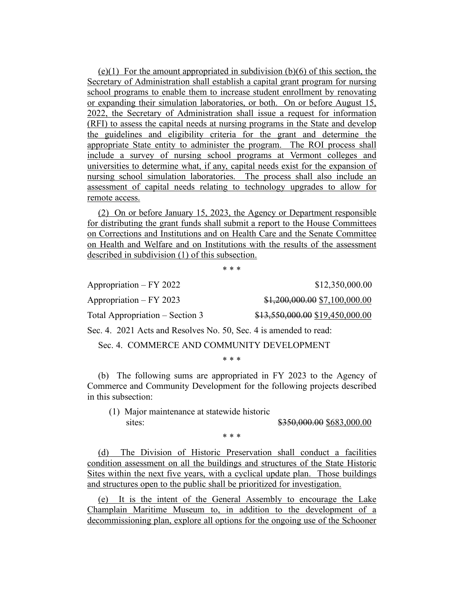$(e)(1)$  For the amount appropriated in subdivision  $(b)(6)$  of this section, the Secretary of Administration shall establish a capital grant program for nursing school programs to enable them to increase student enrollment by renovating or expanding their simulation laboratories, or both. On or before August 15, 2022, the Secretary of Administration shall issue a request for information (RFI) to assess the capital needs at nursing programs in the State and develop the guidelines and eligibility criteria for the grant and determine the appropriate State entity to administer the program. The ROI process shall include a survey of nursing school programs at Vermont colleges and universities to determine what, if any, capital needs exist for the expansion of nursing school simulation laboratories. The process shall also include an assessment of capital needs relating to technology upgrades to allow for remote access.

(2) On or before January 15, 2023, the Agency or Department responsible for distributing the grant funds shall submit a report to the House Committees on Corrections and Institutions and on Health Care and the Senate Committee on Health and Welfare and on Institutions with the results of the assessment described in subdivision (1) of this subsection.

\* \* \*

Appropriation – FY 2022 \$12,350,000.00 Appropriation – FY 2023 \$1,200,000.00 \$7,100,000.00

Total Appropriation – Section 3 \$13,550,000.00 \$19,450,000.00

Sec. 4. 2021 Acts and Resolves No. 50, Sec. 4 is amended to read:

Sec. 4. COMMERCE AND COMMUNITY DEVELOPMENT

\* \* \*

(b) The following sums are appropriated in FY 2023 to the Agency of Commerce and Community Development for the following projects described in this subsection:

(1) Major maintenance at statewide historic sites: \$350,000.00 \$683,000.00

\* \* \*

(d) The Division of Historic Preservation shall conduct a facilities condition assessment on all the buildings and structures of the State Historic Sites within the next five years, with a cyclical update plan. Those buildings and structures open to the public shall be prioritized for investigation.

(e) It is the intent of the General Assembly to encourage the Lake Champlain Maritime Museum to, in addition to the development of a decommissioning plan, explore all options for the ongoing use of the Schooner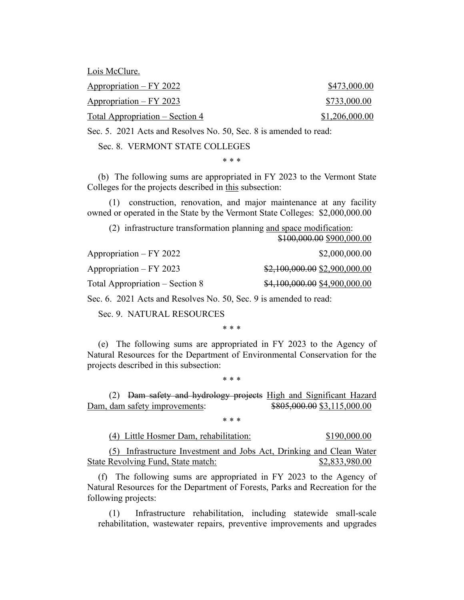Lois McClure.

Appropriation – FY 2022 \$473,000.00

Appropriation – FY 2023 \$733,000.00  $Total Approximation - Section 4$  \$1,206,000.00

Sec. 5. 2021 Acts and Resolves No. 50, Sec. 8 is amended to read:

Sec. 8. VERMONT STATE COLLEGES

\* \* \*

(b) The following sums are appropriated in FY 2023 to the Vermont State Colleges for the projects described in this subsection:

(1) construction, renovation, and major maintenance at any facility owned or operated in the State by the Vermont State Colleges: \$2,000,000.00

(2) infrastructure transformation planning and space modification: \$100,000.00 \$900,000.00

|                                 | $+100,000,000,000,000,000$     |
|---------------------------------|--------------------------------|
| Appropriation – FY 2022         | \$2,000,000.00                 |
| Appropriation – FY 2023         | $$2,100,000.00$ \$2,900,000.00 |
| Total Appropriation – Section 8 | \$4,100,000.00 \$4,900,000.00  |
|                                 |                                |

Sec. 6. 2021 Acts and Resolves No. 50, Sec. 9 is amended to read:

Sec. 9. NATURAL RESOURCES

\* \* \*

(e) The following sums are appropriated in FY 2023 to the Agency of Natural Resources for the Department of Environmental Conservation for the projects described in this subsection:

\* \* \*

(2) Dam safety and hydrology projects High and Significant Hazard Dam, dam safety improvements: \$805,000.00 \$3,115,000.00

\* \* \*

(4) Little Hosmer Dam, rehabilitation: \$190,000.00

(5) Infrastructure Investment and Jobs Act, Drinking and Clean Water State Revolving Fund, State match: \$2,833,980.00

(f) The following sums are appropriated in FY 2023 to the Agency of Natural Resources for the Department of Forests, Parks and Recreation for the following projects:

(1) Infrastructure rehabilitation, including statewide small-scale rehabilitation, wastewater repairs, preventive improvements and upgrades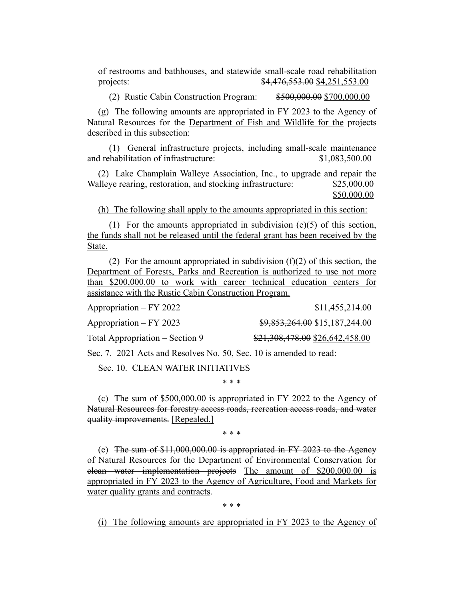of restrooms and bathhouses, and statewide small-scale road rehabilitation projects: \$4,476,553.00 \$4,251,553.00

(2) Rustic Cabin Construction Program: \$500,000.00 \$700,000.00

(g) The following amounts are appropriated in FY 2023 to the Agency of Natural Resources for the Department of Fish and Wildlife for the projects described in this subsection:

(1) General infrastructure projects, including small-scale maintenance and rehabilitation of infrastructure: \$1,083,500.00

(2) Lake Champlain Walleye Association, Inc., to upgrade and repair the Walleye rearing, restoration, and stocking infrastructure: \$25,000.00 \$50,000.00

(h) The following shall apply to the amounts appropriated in this section:

(1) For the amounts appropriated in subdivision (e)(5) of this section, the funds shall not be released until the federal grant has been received by the State.

(2) For the amount appropriated in subdivision  $(f)(2)$  of this section, the Department of Forests, Parks and Recreation is authorized to use not more than \$200,000.00 to work with career technical education centers for assistance with the Rustic Cabin Construction Program.

| Appropriation – FY 2022         | \$11,455,214.00                 |
|---------------------------------|---------------------------------|
| Appropriation – FY 2023         | $$9,853,264.00$ \$15,187,244.00 |
| Total Appropriation – Section 9 | \$21,308,478.00 \$26,642,458.00 |

Sec. 7. 2021 Acts and Resolves No. 50, Sec. 10 is amended to read:

Sec. 10. CLEAN WATER INITIATIVES

\* \* \*

(c) The sum of \$500,000.00 is appropriated in FY 2022 to the Agency of Natural Resources for forestry access roads, recreation access roads, and water quality improvements. [Repealed.]

\* \* \*

(e) The sum of \$11,000,000.00 is appropriated in FY 2023 to the Agency of Natural Resources for the Department of Environmental Conservation for clean water implementation projects The amount of \$200,000.00 is appropriated in FY 2023 to the Agency of Agriculture, Food and Markets for water quality grants and contracts.

\* \* \*

(i) The following amounts are appropriated in FY 2023 to the Agency of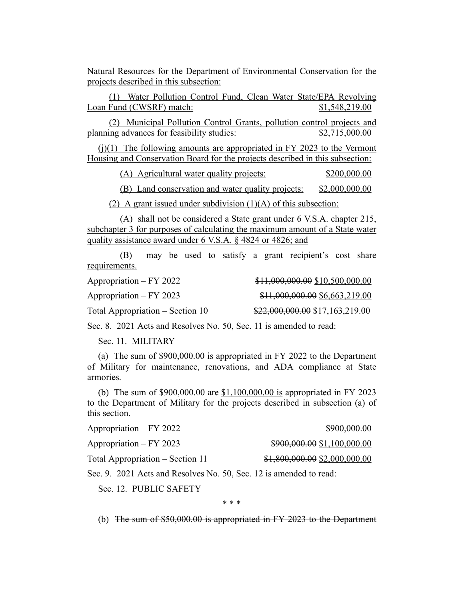Natural Resources for the Department of Environmental Conservation for the projects described in this subsection:

(1) Water Pollution Control Fund, Clean Water State/EPA Revolving Loan Fund (CWSRF) match: \$1,548,219.00

(2) Municipal Pollution Control Grants, pollution control projects and planning advances for feasibility studies: \$2,715,000.00

 $(i)(1)$  The following amounts are appropriated in FY 2023 to the Vermont Housing and Conservation Board for the projects described in this subsection:

(A) Agricultural water quality projects: \$200,000.00

(B) Land conservation and water quality projects: \$2,000,000.00

(2) A grant issued under subdivision  $(1)(A)$  of this subsection:

(A) shall not be considered a State grant under 6 V.S.A. chapter 215, subchapter 3 for purposes of calculating the maximum amount of a State water quality assistance award under 6 V.S.A. § 4824 or 4826; and

(B) may be used to satisfy a grant recipient's cost share requirements.

| Appropriation – FY 2022          | \$11,000,000.00 \$10,500,000.00 |
|----------------------------------|---------------------------------|
| $Approxination - FY 2023$        | \$11,000,000.00 \$6,663,219.00  |
| Total Appropriation – Section 10 | \$22,000,000.00 \$17,163,219.00 |

Sec. 8. 2021 Acts and Resolves No. 50, Sec. 11 is amended to read:

Sec. 11. MILITARY

(a) The sum of \$900,000.00 is appropriated in FY 2022 to the Department of Military for maintenance, renovations, and ADA compliance at State armories.

(b) The sum of \$900,000.00 are \$1,100,000.00 is appropriated in FY 2023 to the Department of Military for the projects described in subsection (a) of this section.

| Appropriation – FY 2022          | \$900,000.00                   |
|----------------------------------|--------------------------------|
| Appropriation – FY 2023          | \$900,000.00 \$1,100,000.00    |
| Total Appropriation – Section 11 | $$1,800,000.00$ \$2,000,000.00 |
| $\alpha$ $\alpha$ $\alpha$       |                                |

Sec. 9. 2021 Acts and Resolves No. 50, Sec. 12 is amended to read:

Sec. 12. PUBLIC SAFETY

\* \* \*

(b) The sum of \$50,000.00 is appropriated in FY 2023 to the Department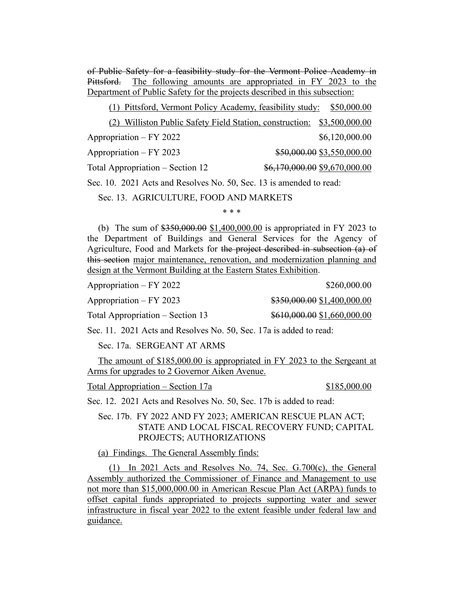of Public Safety for a feasibility study for the Vermont Police Academy in Pittsford. The following amounts are appropriated in FY 2023 to the Department of Public Safety for the projects described in this subsection:

| (1) Pittsford, Vermont Policy Academy, feasibility study:           |                               |                | \$50,000.00 |
|---------------------------------------------------------------------|-------------------------------|----------------|-------------|
| (2) Williston Public Safety Field Station, construction:            |                               | \$3,500,000.00 |             |
| Appropriation – FY 2022                                             |                               | \$6,120,000.00 |             |
| Appropriation – FY 2023                                             | \$50,000.00 \$3,550,000.00    |                |             |
| Total Appropriation – Section 12                                    | \$6,170,000.00 \$9,670,000.00 |                |             |
| Sec. 10. 2021 Acts and Resolves No. 50, Sec. 13 is amended to read: |                               |                |             |

Sec. 13. AGRICULTURE, FOOD AND MARKETS

\* \* \*

(b) The sum of \$350,000.00 \$1,400,000.00 is appropriated in FY 2023 to the Department of Buildings and General Services for the Agency of Agriculture, Food and Markets for the project described in subsection (a) of this section major maintenance, renovation, and modernization planning and design at the Vermont Building at the Eastern States Exhibition.

Appropriation – FY 2022 \$260,000.00

Appropriation – FY 2023  $\qquad\qquad$  \$350,000.00 \$1,400,000.00

Total Appropriation – Section 13  $$610,000.00 \$1,660,000.00$ 

Sec. 11. 2021 Acts and Resolves No. 50, Sec. 17a is added to read:

Sec. 17a. SERGEANT AT ARMS

The amount of \$185,000.00 is appropriated in FY 2023 to the Sergeant at Arms for upgrades to 2 Governor Aiken Avenue.

Total Appropriation – Section 17a  $$185,000.00$ 

Sec. 12. 2021 Acts and Resolves No. 50, Sec. 17b is added to read:

Sec. 17b. FY 2022 AND FY 2023; AMERICAN RESCUE PLAN ACT; STATE AND LOCAL FISCAL RECOVERY FUND; CAPITAL PROJECTS; AUTHORIZATIONS

(a) Findings. The General Assembly finds:

(1) In 2021 Acts and Resolves No. 74, Sec. G.700(c), the General Assembly authorized the Commissioner of Finance and Management to use not more than \$15,000,000.00 in American Rescue Plan Act (ARPA) funds to offset capital funds appropriated to projects supporting water and sewer infrastructure in fiscal year 2022 to the extent feasible under federal law and guidance.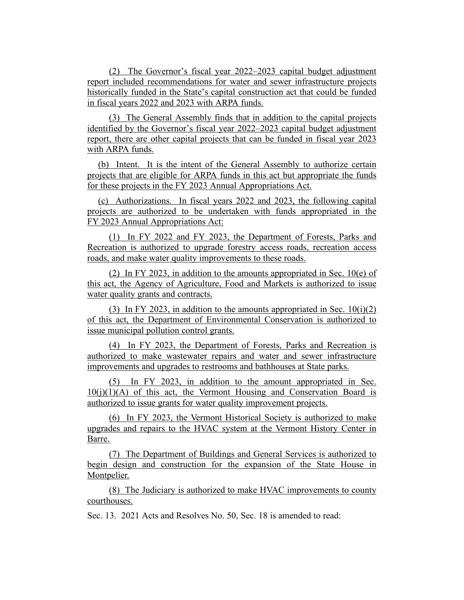(2) The Governor's fiscal year 2022–2023 capital budget adjustment report included recommendations for water and sewer infrastructure projects historically funded in the State's capital construction act that could be funded in fiscal years 2022 and 2023 with ARPA funds.

(3) The General Assembly finds that in addition to the capital projects identified by the Governor's fiscal year 2022–2023 capital budget adjustment report, there are other capital projects that can be funded in fiscal year 2023 with ARPA funds.

(b) Intent. It is the intent of the General Assembly to authorize certain projects that are eligible for ARPA funds in this act but appropriate the funds for these projects in the FY 2023 Annual Appropriations Act.

(c) Authorizations. In fiscal years 2022 and 2023, the following capital projects are authorized to be undertaken with funds appropriated in the FY 2023 Annual Appropriations Act:

(1) In FY 2022 and FY 2023, the Department of Forests, Parks and Recreation is authorized to upgrade forestry access roads, recreation access roads, and make water quality improvements to these roads.

(2) In FY 2023, in addition to the amounts appropriated in Sec. 10(e) of this act, the Agency of Agriculture, Food and Markets is authorized to issue water quality grants and contracts.

(3) In FY 2023, in addition to the amounts appropriated in Sec.  $10(i)(2)$ of this act, the Department of Environmental Conservation is authorized to issue municipal pollution control grants.

(4) In FY 2023, the Department of Forests, Parks and Recreation is authorized to make wastewater repairs and water and sewer infrastructure improvements and upgrades to restrooms and bathhouses at State parks.

(5) In FY 2023, in addition to the amount appropriated in Sec.  $10(i)(1)(A)$  of this act, the Vermont Housing and Conservation Board is authorized to issue grants for water quality improvement projects.

(6) In FY 2023, the Vermont Historical Society is authorized to make upgrades and repairs to the HVAC system at the Vermont History Center in Barre.

(7) The Department of Buildings and General Services is authorized to begin design and construction for the expansion of the State House in Montpelier.

(8) The Judiciary is authorized to make HVAC improvements to county courthouses.

Sec. 13. 2021 Acts and Resolves No. 50, Sec. 18 is amended to read: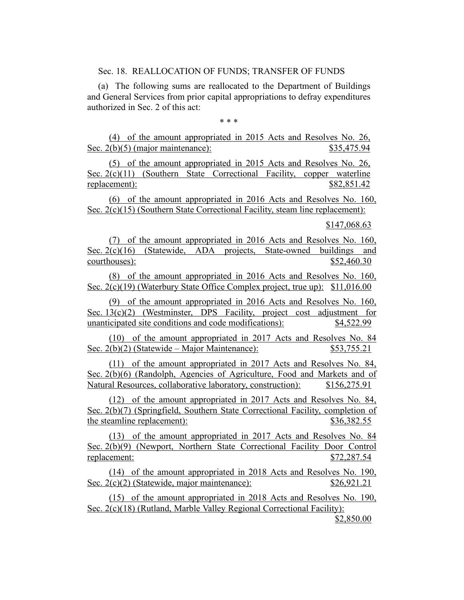Sec. 18. REALLOCATION OF FUNDS; TRANSFER OF FUNDS

(a) The following sums are reallocated to the Department of Buildings and General Services from prior capital appropriations to defray expenditures authorized in Sec. 2 of this act:

\* \* \*

(4) of the amount appropriated in 2015 Acts and Resolves No. 26, Sec. 2(b)(5) (major maintenance): \$35,475.94

(5) of the amount appropriated in 2015 Acts and Resolves No. 26, Sec. 2(c)(11) (Southern State Correctional Facility, copper waterline replacement):  $$82,851.42$ 

(6) of the amount appropriated in 2016 Acts and Resolves No. 160, Sec. 2(c)(15) (Southern State Correctional Facility, steam line replacement):

\$147,068.63

(7) of the amount appropriated in 2016 Acts and Resolves No. 160, Sec. 2(c)(16) (Statewide, ADA projects, State-owned buildings and courthouses):  $$52,460.30$ 

(8) of the amount appropriated in 2016 Acts and Resolves No. 160, Sec. 2(c)(19) (Waterbury State Office Complex project, true up): \$11,016.00

(9) of the amount appropriated in 2016 Acts and Resolves No. 160, Sec. 13(c)(2) (Westminster, DPS Facility, project cost adjustment for unanticipated site conditions and code modifications): \$4,522.99

(10) of the amount appropriated in 2017 Acts and Resolves No. 84 Sec. 2(b)(2) (Statewide – Major Maintenance): \$53,755.21

(11) of the amount appropriated in 2017 Acts and Resolves No. 84, Sec. 2(b)(6) (Randolph, Agencies of Agriculture, Food and Markets and of Natural Resources, collaborative laboratory, construction): \$156,275.91

(12) of the amount appropriated in 2017 Acts and Resolves No. 84, Sec. 2(b)(7) (Springfield, Southern State Correctional Facility, completion of the steamline replacement):  $$36,382.55$ 

(13) of the amount appropriated in 2017 Acts and Resolves No. 84 Sec. 2(b)(9) (Newport, Northern State Correctional Facility Door Control replacement: \$72,287.54

(14) of the amount appropriated in 2018 Acts and Resolves No. 190, Sec. 2(c)(2) (Statewide, major maintenance): \$26,921.21

(15) of the amount appropriated in 2018 Acts and Resolves No. 190, Sec. 2(c)(18) (Rutland, Marble Valley Regional Correctional Facility):

\$2,850.00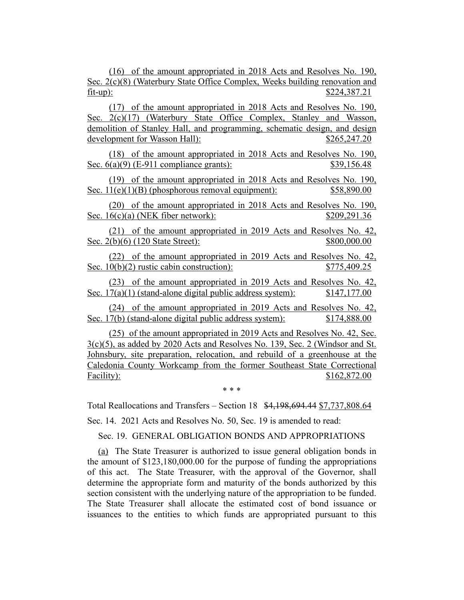(16) of the amount appropriated in 2018 Acts and Resolves No. 190, Sec. 2(c)(8) (Waterbury State Office Complex, Weeks building renovation and fit-up): \$224,387.21

(17) of the amount appropriated in 2018 Acts and Resolves No. 190, Sec. 2(c)(17) (Waterbury State Office Complex, Stanley and Wasson, demolition of Stanley Hall, and programming, schematic design, and design development for Wasson Hall):  $$265,247.20$ 

(18) of the amount appropriated in 2018 Acts and Resolves No. 190, Sec. 6(a)(9) (E-911 compliance grants): \$39,156.48

(19) of the amount appropriated in 2018 Acts and Resolves No. 190, Sec.  $11(e)(1)(B)$  (phosphorous removal equipment):  $$58,890.00$ 

(20) of the amount appropriated in 2018 Acts and Resolves No. 190, Sec. 16(c)(a) (NEK fiber network): \$209,291.36

(21) of the amount appropriated in 2019 Acts and Resolves No. 42, Sec. 2(b)(6) (120 State Street): \$800,000.00

(22) of the amount appropriated in 2019 Acts and Resolves No. 42, Sec. 10(b)(2) rustic cabin construction): \$775,409.25

(23) of the amount appropriated in 2019 Acts and Resolves No. 42, Sec.  $17(a)(1)$  (stand-alone digital public address system):  $$147,177.00$ 

(24) of the amount appropriated in 2019 Acts and Resolves No. 42, Sec. 17(b) (stand-alone digital public address system): \$174,888.00

(25) of the amount appropriated in 2019 Acts and Resolves No. 42, Sec. 3(c)(5), as added by 2020 Acts and Resolves No. 139, Sec. 2 (Windsor and St. Johnsbury, site preparation, relocation, and rebuild of a greenhouse at the Caledonia County Workcamp from the former Southeast State Correctional Facility): \$162,872.00

\* \* \*

Total Reallocations and Transfers – Section 18 \$4,198,694.44 \$7,737,808.64

Sec. 14. 2021 Acts and Resolves No. 50, Sec. 19 is amended to read:

Sec. 19. GENERAL OBLIGATION BONDS AND APPROPRIATIONS

(a) The State Treasurer is authorized to issue general obligation bonds in the amount of \$123,180,000.00 for the purpose of funding the appropriations of this act. The State Treasurer, with the approval of the Governor, shall determine the appropriate form and maturity of the bonds authorized by this section consistent with the underlying nature of the appropriation to be funded. The State Treasurer shall allocate the estimated cost of bond issuance or issuances to the entities to which funds are appropriated pursuant to this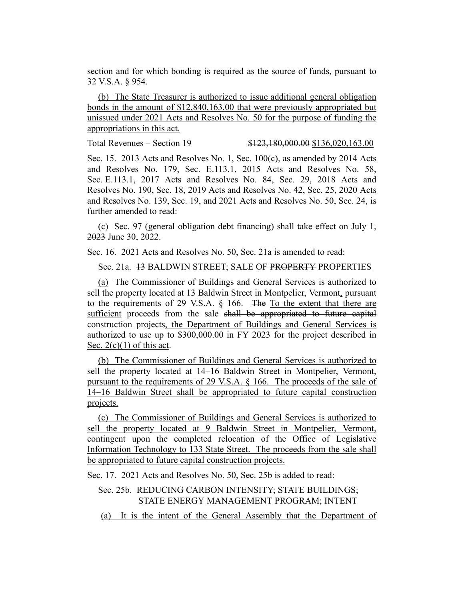section and for which bonding is required as the source of funds, pursuant to 32 V.S.A. § 954.

(b) The State Treasurer is authorized to issue additional general obligation bonds in the amount of \$12,840,163.00 that were previously appropriated but unissued under 2021 Acts and Resolves No. 50 for the purpose of funding the appropriations in this act.

Total Revenues – Section 19 \$123,180,000.00 \$136,020,163.00

Sec. 15. 2013 Acts and Resolves No. 1, Sec.  $100(c)$ , as amended by 2014 Acts and Resolves No. 179, Sec. E.113.1, 2015 Acts and Resolves No. 58, Sec. E.113.1, 2017 Acts and Resolves No. 84, Sec. 29, 2018 Acts and Resolves No. 190, Sec. 18, 2019 Acts and Resolves No. 42, Sec. 25, 2020 Acts and Resolves No. 139, Sec. 19, and 2021 Acts and Resolves No. 50, Sec. 24, is further amended to read:

(c) Sec. 97 (general obligation debt financing) shall take effect on  $\frac{1 \text{H}_y}{1}$ , 2023 June 30, 2022.

Sec. 16. 2021 Acts and Resolves No. 50, Sec. 21a is amended to read:

Sec. 21a. 13 BALDWIN STREET; SALE OF PROPERTY PROPERTIES

(a) The Commissioner of Buildings and General Services is authorized to sell the property located at 13 Baldwin Street in Montpelier, Vermont, pursuant to the requirements of 29 V.S.A. § 166. The To the extent that there are sufficient proceeds from the sale shall be appropriated to future capital construction projects, the Department of Buildings and General Services is authorized to use up to \$300,000.00 in FY 2023 for the project described in Sec.  $2(c)(1)$  of this act.

(b) The Commissioner of Buildings and General Services is authorized to sell the property located at 14–16 Baldwin Street in Montpelier, Vermont, pursuant to the requirements of 29 V.S.A. § 166. The proceeds of the sale of 14–16 Baldwin Street shall be appropriated to future capital construction projects.

(c) The Commissioner of Buildings and General Services is authorized to sell the property located at 9 Baldwin Street in Montpelier, Vermont, contingent upon the completed relocation of the Office of Legislative Information Technology to 133 State Street. The proceeds from the sale shall be appropriated to future capital construction projects.

Sec. 17. 2021 Acts and Resolves No. 50, Sec. 25b is added to read:

## Sec. 25b. REDUCING CARBON INTENSITY; STATE BUILDINGS; STATE ENERGY MANAGEMENT PROGRAM; INTENT

(a) It is the intent of the General Assembly that the Department of